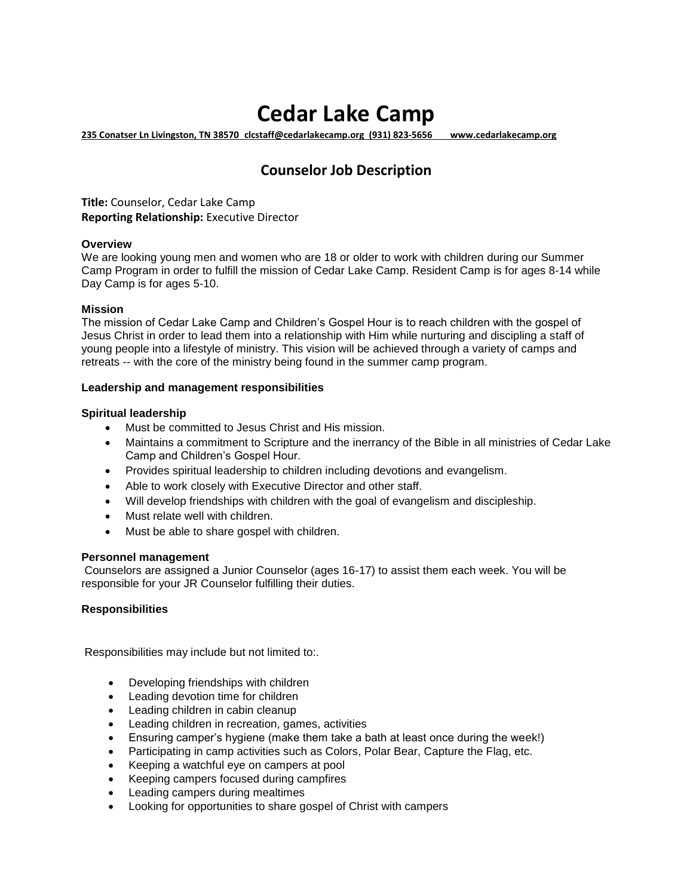# **Cedar Lake Camp**

**235 Conatser Ln Livingston, TN 38570 clcstaff@cedarlakecamp.org (931) 823-5656 www.cedarlakecamp.org** 

# **Counselor Job Description**

**Title:** Counselor, Cedar Lake Camp **Reporting Relationship:** Executive Director

## **Overview**

We are looking young men and women who are 18 or older to work with children during our Summer Camp Program in order to fulfill the mission of Cedar Lake Camp. Resident Camp is for ages 8-14 while Day Camp is for ages 5-10.

## **Mission**

The mission of Cedar Lake Camp and Children's Gospel Hour is to reach children with the gospel of Jesus Christ in order to lead them into a relationship with Him while nurturing and discipling a staff of young people into a lifestyle of ministry. This vision will be achieved through a variety of camps and retreats -- with the core of the ministry being found in the summer camp program.

## **Leadership and management responsibilities**

## **Spiritual leadership**

- Must be committed to Jesus Christ and His mission.
- Maintains a commitment to Scripture and the inerrancy of the Bible in all ministries of Cedar Lake Camp and Children's Gospel Hour.
- Provides spiritual leadership to children including devotions and evangelism.
- Able to work closely with Executive Director and other staff.
- Will develop friendships with children with the goal of evangelism and discipleship.
- Must relate well with children.
- Must be able to share gospel with children.

## **Personnel management**

Counselors are assigned a Junior Counselor (ages 16-17) to assist them each week. You will be responsible for your JR Counselor fulfilling their duties.

## **Responsibilities**

Responsibilities may include but not limited to:.

- Developing friendships with children
- Leading devotion time for children
- Leading children in cabin cleanup
- Leading children in recreation, games, activities
- Ensuring camper's hygiene (make them take a bath at least once during the week!)
- Participating in camp activities such as Colors, Polar Bear, Capture the Flag, etc.
- Keeping a watchful eye on campers at pool
- Keeping campers focused during campfires
- Leading campers during mealtimes
- Looking for opportunities to share gospel of Christ with campers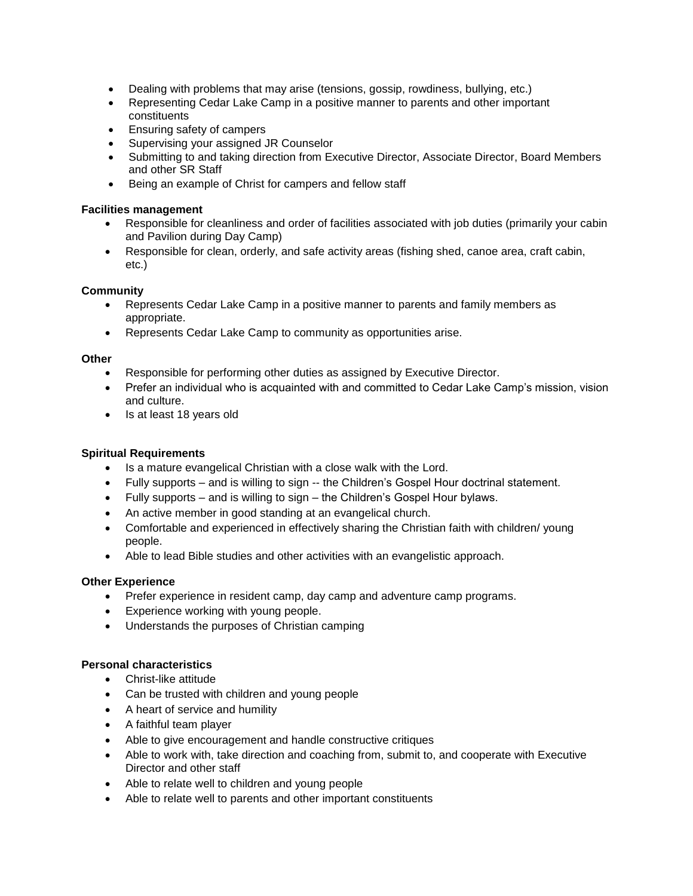- Dealing with problems that may arise (tensions, gossip, rowdiness, bullying, etc.)
- Representing Cedar Lake Camp in a positive manner to parents and other important constituents
- Ensuring safety of campers
- Supervising your assigned JR Counselor
- Submitting to and taking direction from Executive Director, Associate Director, Board Members and other SR Staff
- Being an example of Christ for campers and fellow staff

#### **Facilities management**

- Responsible for cleanliness and order of facilities associated with job duties (primarily your cabin and Pavilion during Day Camp)
- Responsible for clean, orderly, and safe activity areas (fishing shed, canoe area, craft cabin, etc.)

## **Community**

- Represents Cedar Lake Camp in a positive manner to parents and family members as appropriate.
- Represents Cedar Lake Camp to community as opportunities arise.

#### **Other**

- Responsible for performing other duties as assigned by Executive Director.
- Prefer an individual who is acquainted with and committed to Cedar Lake Camp's mission, vision and culture.
- Is at least 18 years old

## **Spiritual Requirements**

- Is a mature evangelical Christian with a close walk with the Lord.
- Fully supports and is willing to sign -- the Children's Gospel Hour doctrinal statement.
- Fully supports and is willing to sign the Children's Gospel Hour bylaws.
- An active member in good standing at an evangelical church.
- Comfortable and experienced in effectively sharing the Christian faith with children/ young people.
- Able to lead Bible studies and other activities with an evangelistic approach.

## **Other Experience**

- Prefer experience in resident camp, day camp and adventure camp programs.
- Experience working with young people.
- Understands the purposes of Christian camping

## **Personal characteristics**

- Christ-like attitude
- Can be trusted with children and young people
- A heart of service and humility
- A faithful team player
- Able to give encouragement and handle constructive critiques
- Able to work with, take direction and coaching from, submit to, and cooperate with Executive Director and other staff
- Able to relate well to children and young people
- Able to relate well to parents and other important constituents